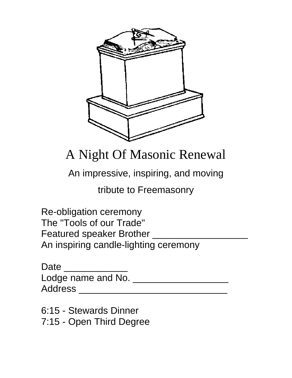

# A Night Of Masonic Renewal

An impressive, inspiring, and moving

tribute to Freemasonry

 Re-obligation ceremony The "Tools of our Trade" Featured speaker Brother An inspiring candle-lighting ceremony

| Date               |  |
|--------------------|--|
| Lodge name and No. |  |
| <b>Address</b>     |  |

 6:15 - Stewards Dinner 7:15 - Open Third Degree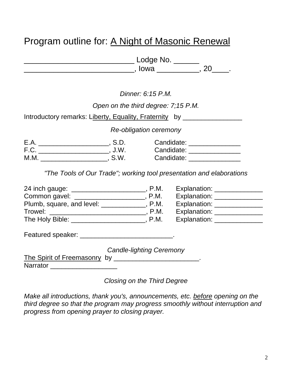## Program outline for: A Night of Masonic Renewal

| Lodge No. |  |
|-----------|--|
| , Iowa    |  |

*Dinner: 6:15 P.M.* 

## *Open on the third degree: 7;15 P.M.*

Introductory remarks: Liberty, Equality, Fraternity by \_\_\_\_\_\_\_\_\_\_\_\_\_\_\_\_\_\_\_\_\_\_\_\_\_

*Re-obligation ceremony* 

| E.A. | .U.C | Candidate: |
|------|------|------------|
| F.C. | J.W. | Candidate: |
| M.M. | S.W. | Candidate: |

*"The Tools of Our Trade"; working tool presentation and elaborations* 

|                                                                                                                                                                                                                                |                                 | Explanation: _______________ |  |
|--------------------------------------------------------------------------------------------------------------------------------------------------------------------------------------------------------------------------------|---------------------------------|------------------------------|--|
| Common gavel: ___________________________, P.M.                                                                                                                                                                                |                                 | Explanation: _______________ |  |
| Plumb, square, and level: ____________, P.M.                                                                                                                                                                                   |                                 | Explanation: _______________ |  |
|                                                                                                                                                                                                                                |                                 | Explanation: _______________ |  |
|                                                                                                                                                                                                                                |                                 | Explanation: _______________ |  |
| Featured speaker: Engineering and the state of the state of the state of the state of the state of the state of the state of the state of the state of the state of the state of the state of the state of the state of the st |                                 |                              |  |
|                                                                                                                                                                                                                                | <b>Candle-lighting Ceremony</b> |                              |  |
|                                                                                                                                                                                                                                |                                 |                              |  |
| Narrator <u>__________________</u>                                                                                                                                                                                             |                                 |                              |  |

*Closing on the Third Degree* 

*Make all introductions, thank you's, announcements, etc. before opening on the third degree so that the program may progress smoothly without interruption and progress from opening prayer to closing prayer.*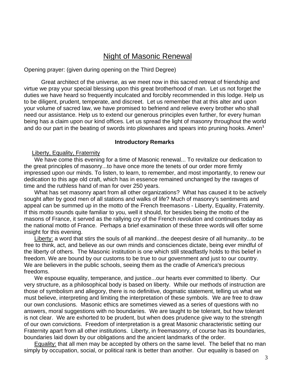## Night of Masonic Renewal

Opening prayer: (given during opening on the Third Degree)

 Great architect of the universe, as we meet now in this sacred retreat of friendship and virtue we pray your special blessing upon this great brotherhood of man. Let us not forget the duties we have heard so frequently inculcated and forcibly recommended in this lodge. Help us to be diligent, prudent, temperate, and discreet. Let us remember that at this alter and upon your volume of sacred law, we have promised to befriend and relieve every brother who shall need our assistance. Help us to extend our generous principles even further, for every human being has a claim upon our kind offices. Let us spread the light of masonry throughout the world and do our part in the beating of swords into plowshares and spears into pruning hooks. Amen**[1](#page-6-0)**

#### **Introductory Remarks**

#### Liberty, Equality, Fraternity

We have come this evening for a time of Masonic renewal... To revitalize our dedication to the great principles of masonry...to have once more the tenets of our order more firmly impressed upon our minds. To listen, to learn, to remember, and most importantly, to renew our dedication to this age old craft, which has in essence remained unchanged by the ravages of time and the ruthless hand of man for over 250 years.

What has set masonry apart from all other organizations? What has caused it to be actively sought after by good men of all stations and walks of life? Much of masonry's sentiments and appeal can be summed up in the motto of the French freemasons - Liberty, Equality, Fraternity. If this motto sounds quite familiar to you, well it should, for besides being the motto of the masons of France, it served as the rallying cry of the French revolution and continues today as the national motto of France. Perhaps a brief examination of these three words will offer some insight for this evening.

Liberty: a word that stirs the souls of all mankind...the deepest desire of all humanity...to be free to think, act, and believe as our own minds and consciences dictate, being ever mindful of the liberty of others. The Masonic institution is one which still steadfastly holds to this belief in freedom. We are bound by our customs to be true to our government and just to our country. We are believers in the public schools, seeing them as the cradle of America's precious freedoms.

We espouse equality, temperance, and justice...our hearts ever committed to liberty. Our very structure, as a philosophical body is based on liberty. While our methods of instruction are those of symbolism and allegory, there is no definitive, dogmatic statement, telling us what we must believe, interpreting and limiting the interpretation of these symbols. We are free to draw our own conclusions. Masonic ethics are sometimes viewed as a series of questions with no answers, moral suggestions with no boundaries. We are taught to be tolerant, but how tolerant is not clear. We are exhorted to be prudent, but when does prudence give way to the strength of our own convictions. Freedom of interpretation is a great Masonic characteristic setting our Fraternity apart from all other institutions. Liberty, in freemasonry, of course has its boundaries, boundaries laid down by our obligations and the ancient landmarks of the order.

Equality: that all men may be accepted by others on the same level. The belief that no man simply by occupation, social, or political rank is better than another. Our equality is based on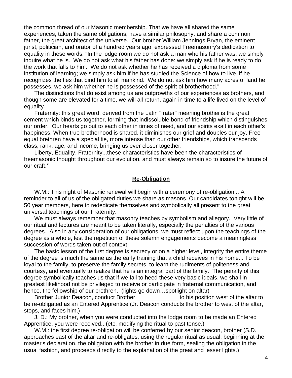the common thread of our Masonic membership. That we have all shared the same experiences, taken the same obligations, have a similar philosophy, and share a common father, the great architect of the universe. Our brother William Jennings Bryan, the eminent jurist, politician, and orator of a hundred years ago, expressed Freemasonry's dedication to equality in these words: "In the lodge room we do not ask a man who his father was, we simply inquire what he is. We do not ask what his father has done: we simply ask if he is ready to do the work that falls to him. We do not ask whether he has received a diploma from some institution of learning; we simply ask him if he has studied the Science of how to live, if he recognizes the ties that bind him to all mankind. We do not ask him how many acres of land he possesses, we ask him whether he is possessed of the spirit of brotherhood."

The distinctions that do exist among us are outgrowths of our experiences as brothers, and though some are elevated for a time, we will all return, again in time to a life lived on the level of equality.

Fraternity: this great word, derived from the Latin "frater" meaning brother is the great cement which binds us together, forming that indissoluble bond of friendship which distinguishes our order. Our hearts go out to each other in times of need, and our spirits exalt in each other's happiness. When true brotherhood is shared, it diminishes our grief and doubles our joy. Free equal brethren have a special tie, more intense than our other friendships, which transcends class, rank, age, and income, bringing us ever closer together.

Liberty, Equality, Fraternity...these characteristics have been the characteristics of freemasonic thought throughout our evolution, and must always remain so to insure the future of our craft.**[2](#page-6-1)**

#### **Re-Obligation**

W.M.: This night of Masonic renewal will begin with a ceremony of re-obligation... A reminder to all of us of the obligated duties we share as masons. Our candidates tonight will be 50 year members, here to rededicate themselves and symbolically all present to the great universal teachings of our Fraternity.

We must always remember that masonry teaches by symbolism and allegory. Very little of our ritual and lectures are meant to be taken literally, especially the penalties of the various degrees. Also in any consideration of our obligations, we must reflect upon the teachings of the degree as a whole, lest the repetition of these solemn engagements become a meaningless succession of words taken out of context.

The basic lesson of the first degree is secrecy or on a higher level, integrity the entire theme of the degree is much the same as the early training that a child receives in his home... To be loyal to the family, to preserve the family secrets, to learn the rudiments of politeness and courtesy, and eventually to realize that he is an integral part of the family. The penalty of this degree symbolically teaches us that if we fail to heed these very basic ideals, we shall in greatest likelihood not be privileged to receive or participate in fraternal communication, and hence, the fellowship of our brethren. (lights go down...spotlight on altar)

Brother Junior Deacon, conduct Brother **with the set of the altar to** bis position west of the altar to be re-obligated as an Entered Apprentice (Jr. Deacon conducts the brother to west of the altar, stops, and faces him.)

J. D.: My brother, when you were conducted into the lodge room to be made an Entered Apprentice, you were received...(etc. modifying the ritual to past tense.)

W.M.: the first degree re-obligation will be conferred by our senior deacon, brother (S.D. approaches east of the altar and re-obligates, using the regular ritual as usual, beginning at the master's declaration, the obligation with the brother in due form, sealing the obligation in the usual fashion, and proceeds directly to the explanation of the great and lesser lights.)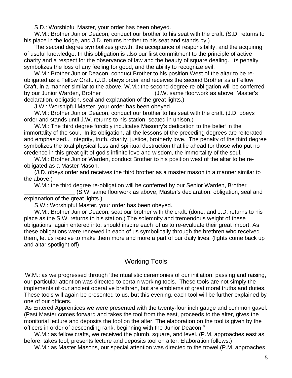S.D.: Worshipful Master, your order has been obeyed.

W.M.: Brother Junior Deacon, conduct our brother to his seat with the craft. (S.D. returns to his place in the lodge, and J.D. returns brother to his seat and stands by.)

The second degree symbolizes growth, the acceptance of responsibility, and the acquiring of useful knowledge. In this obligation is also our first commitment to the principle of active charity and a respect for the observance of law and the beauty of square dealing. Its penalty symbolizes the loss of any feeling for good, and the ability to recognize evil.

W.M.: Brother Junior Deacon, conduct Brother to his position West of the altar to be reobligated as a Fellow Craft. (J.D. obeys order and receives the second Brother as a Fellow Craft, in a manner similar to the above. W.M.: the second degree re-obligation will be conferred by our Junior Warden, Brother **Example 2018** (J.W. same floorwork as above, Master's declaration, obligation, seal and explanation of the great lights.)

J.W.: Worshipful Master, your order has been obeyed.

W.M.: Brother Junior Deacon, conduct our brother to his seat with the craft. (J.D. obeys order and stands until J.W. returns to his station, seated in unison.)

W.M.: The third degree forcibly inculcates Masonry's dedication to the belief in the immortality of the soul. In its obligation, all the lessons of the preceding degrees are reiterated and emphasized... integrity, truth, charity, justice, brotherly love. The penalty of the third degree symbolizes the total physical loss and spiritual destruction that lie ahead for those who put no credence in this great gift of god's infinite love and wisdom, the immortality of the soul.

W.M.: Brother Junior Warden, conduct Brother to his position west of the altar to be reobligated as a Master Mason.

(J.D. obeys order and receives the third brother as a master mason in a manner similar to the above.)

W.M.: the third degree re-obligation will be conferred by our Senior Warden, Brother

\_\_\_\_\_\_\_\_\_\_\_\_\_\_\_\_ (S.W. same floorwork as above, Master's declaration, obligation, seal and explanation of the great lights.)

S.W.: Worshipful Master, your order has been obeyed.

W.M.: Brother Junior Deacon, seat our brother with the craft. (done, and J.D. returns to his place as the S.W. returns to his station.) The solemnity and tremendous weight of these .<br>obligations, again entered into, should inspire each of us to re-evaluate their great import. As these obligations were renewed in each of us symbolically through the brethren who received them, let us resolve to make them more and more a part of our daily lives. (lights come back up and altar spotlight off)

## Working Tools

W.M.: as we progressed through 'the ritualistic ceremonies of our initiation, passing and raising, our particular attention was directed to certain working tools. These tools are not simply the implements of our ancient operative brethren, but are emblems of great moral truths and duties. These tools will again be presented to us, but this evening, each tool will be further explained by one of our officers.

As Entered Apprentices we were presented with the twenty-four inch gauge and common gavel. (Past Master comes forward and takes the tool from the east, proceeds to the alter, gives the monitorial lecture and deposits the tool on the alter. The elaboration on the tool is given by the officers in order of descending rank, beginning with the Junior Deacon.**[3](#page-6-1)**

W.M.: as fellow crafts, we received the plumb, square, and level. (P.M. approaches east as before, takes tool, presents lecture and deposits tool on alter. Elaboration follows.)

W.M.: as Master Masons, our special attention was directed to the trowel.(P.M. approaches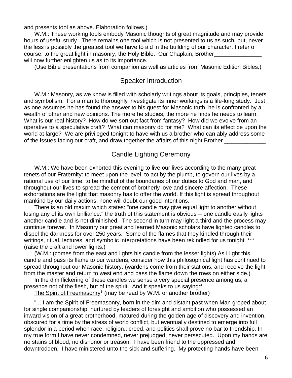and presents tool as above. Elaboration follows.)

W.M.: These working tools embody Masonic thoughts of great magnitude and may provide hours of useful study. There remains one tool which is not presented to us as such, but, never the less is possibly the greatest tool we have to aid in the building of our character. I refer of course, to the great light in masonry, the Holy Bible. Our Chaplain, Brother\_ will now further enlighten us as to its importance.

(Use Bible presentations from companion as well as articles from Masonic Edition Bibles.)

### Speaker Introduction

W.M.: Masonry, as we know is filled with scholarly writings about its goals, principles, tenets and symbolism. For a man to thoroughly investigate its inner workings is a life-long study. Just as one assumes he has found the answer to his quest for Masonic truth, he is confronted by a wealth of other and new opinions. The more he studies, the more he finds he needs to learn. What is our real history? How do we sort out fact from fantasy? How did we evolve from an operative to a speculative craft? What can masonry do for me? What can its effect be upon the world at large? We are privileged tonight to have with us a brother who can ably address some of the issues facing our craft, and draw together the affairs of this night Brother

## Candle Lighting Ceremony

W.M.: We have been exhorted this evening to live our lives according to the many great tenets of our Fraternity: to meet upon the level, to act by the plumb, to govern our lives by a rational use of our time, to be mindful of the boundaries of our duties to God and man, and throughout our lives to spread the cement of brotherly love and sincere affection. These exhortations are the light that masonry has to offer the world. If this light is spread throughout mankind by our daily actions, none will doubt our good intentions.

There is an old maxim which states: "one candle may give equal light to another without losing any of its own brilliance." the truth of this statement is obvious -- one candle easily lights another candle and is not diminished. The second in turn may light a third and the process may continue forever. In Masonry our great and learned Masonic scholars have lighted candles to dispel the darkness for over 250 years. Some of the flames that they kindled through their writings, ritual, lectures, and symbolic interpretations have been rekindled for us tonight. \*\*\* (raise the craft and lower lights.)

(W.M.: (comes from the east and lights his candle from the lesser lights) As I light this candle and pass its flame to our wardens, consider how this philosophical light has continued to spread throughout our Masonic history. (wardens come from their stations, and receive the light from the master and return to west end and pass the flame down the rows on either side.)

In the dim flickering of these candles we sense a very special presence among us; a presence not of the flesh, but of the spirit. And it speaks to us saying:**[4](#page-6-1)**

The Spirit of.Freemasonry**[5](#page-6-1)** (may be read by W.M. or another brother)

"... I am the Spirit of Freemasonry, born in the dim and distant past when Man groped about for single companionship, nurtured by leaders of foresight and ambition who possessed an inward vision of a great brotherhood, matured during the golden age of discovery and invention, obscured for a time by the stress of world conflict, but eventually destined to emerge into full splendor in a period when race, religion,: creed, and politics shall prove no bar to friendship. In my true form I have never condemned, never prejudged, never persecuted. Upon my hands are no stains of blood, no dishonor or treason. I have been friend to the oppressed and downtrodden. I have ministered unto the sick and suffering. My protecting hands have been